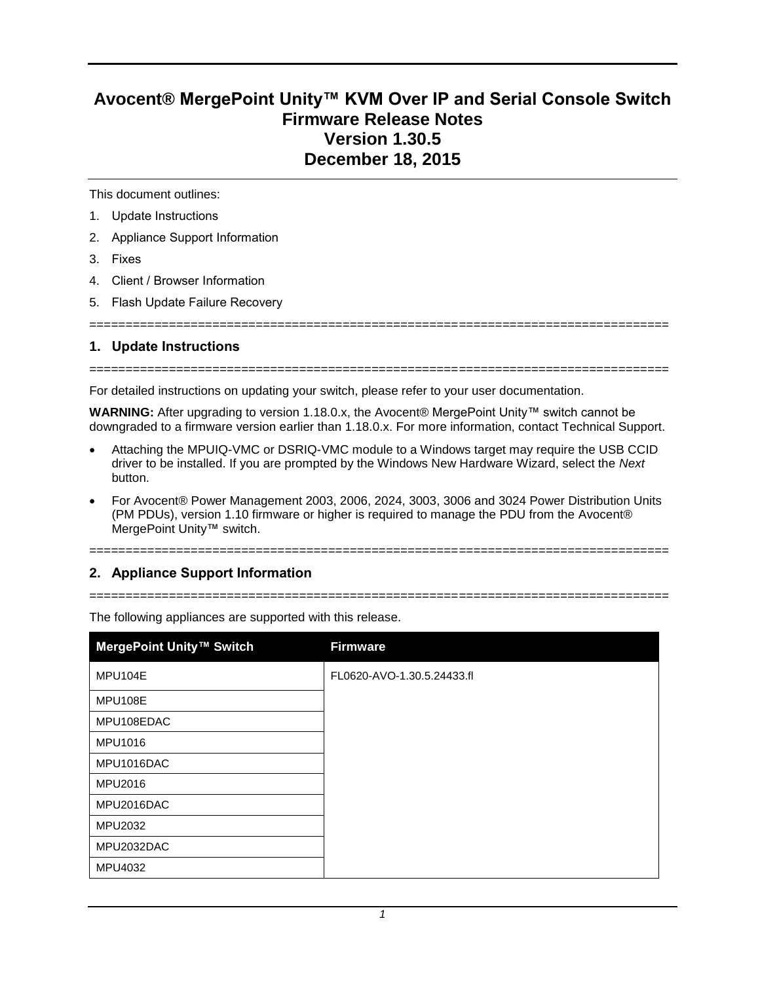## **Avocent® MergePoint Unity™ KVM Over IP and Serial Console Switch Firmware Release Notes Version 1.30.5 December 18, 2015**

This document outlines:

- 1. Update Instructions
- 2. Appliance Support Information
- 3. Fixes
- 4. Client / Browser Information
- 5. Flash Update Failure Recovery

================================================================================

## **1. Update Instructions**

================================================================================

For detailed instructions on updating your switch, please refer to your user documentation.

**WARNING:** After upgrading to version 1.18.0.x, the Avocent® MergePoint Unity™ switch cannot be downgraded to a firmware version earlier than 1.18.0.x. For more information, contact Technical Support.

- Attaching the MPUIQ-VMC or DSRIQ-VMC module to a Windows target may require the USB CCID driver to be installed. If you are prompted by the Windows New Hardware Wizard, select the *Next* button.
- For Avocent® Power Management 2003, 2006, 2024, 3003, 3006 and 3024 Power Distribution Units (PM PDUs), version 1.10 firmware or higher is required to manage the PDU from the Avocent® MergePoint Unity™ switch.

# ================================================================================

## **2. Appliance Support Information**

================================================================================

| MergePoint Unity™ Switch | <b>Firmware</b>            |
|--------------------------|----------------------------|
| MPU104E                  | FL0620-AVO-1.30.5.24433.fl |
| <b>MPU108E</b>           |                            |
| MPU108EDAC               |                            |
| MPU1016                  |                            |
| MPU1016DAC               |                            |
| MPU2016                  |                            |
| MPU2016DAC               |                            |
| MPU2032                  |                            |
| MPU2032DAC               |                            |
| MPU4032                  |                            |

The following appliances are supported with this release.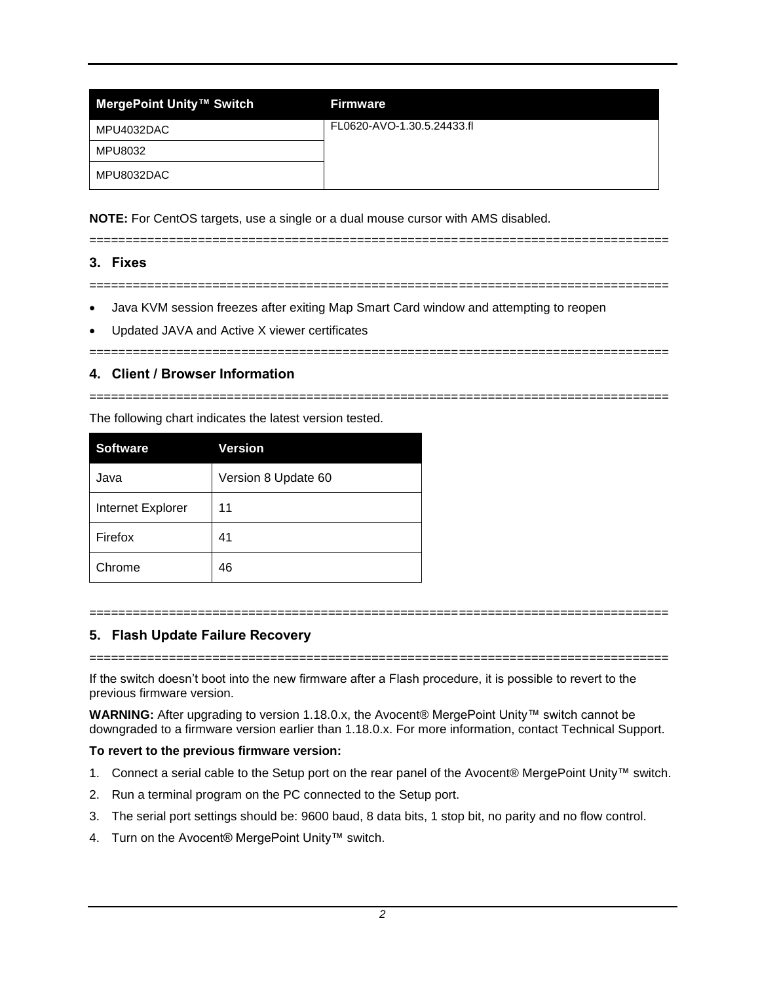| MergePoint Unity™ Switch | <b>Firmware</b>            |
|--------------------------|----------------------------|
| MPU4032DAC               | FL0620-AVO-1.30.5.24433.fl |
| MPU8032                  |                            |
| MPU8032DAC               |                            |

**NOTE:** For CentOS targets, use a single or a dual mouse cursor with AMS disabled.

================================================================================

### **3. Fixes**

================================================================================

- Java KVM session freezes after exiting Map Smart Card window and attempting to reopen
- Updated JAVA and Active X viewer certificates

#### ================================================================================

## **4. Client / Browser Information**

================================================================================

The following chart indicates the latest version tested.

| <b>Software</b>   | <b>Version</b>      |
|-------------------|---------------------|
| Java              | Version 8 Update 60 |
| Internet Explorer | 11                  |
| Firefox           | 41                  |
| Chrome            | 46                  |

#### ================================================================================

## **5. Flash Update Failure Recovery**

================================================================================

If the switch doesn't boot into the new firmware after a Flash procedure, it is possible to revert to the previous firmware version.

**WARNING:** After upgrading to version 1.18.0.x, the Avocent® MergePoint Unity™ switch cannot be downgraded to a firmware version earlier than 1.18.0.x. For more information, contact Technical Support.

#### **To revert to the previous firmware version:**

- 1. Connect a serial cable to the Setup port on the rear panel of the Avocent® MergePoint Unity™ switch.
- 2. Run a terminal program on the PC connected to the Setup port.
- 3. The serial port settings should be: 9600 baud, 8 data bits, 1 stop bit, no parity and no flow control.
- 4. Turn on the Avocent® MergePoint Unity™ switch.